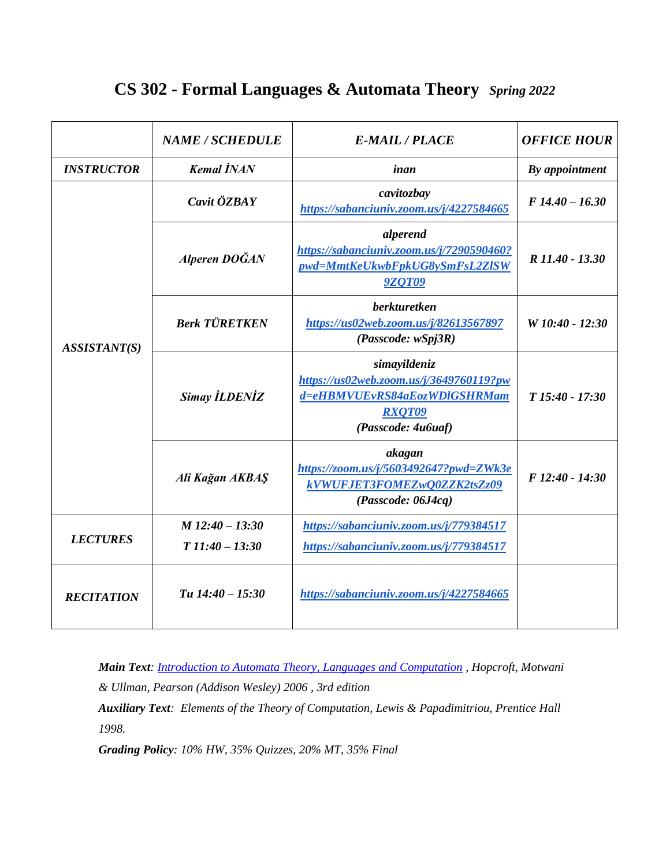## **CS 302 - Formal Languages & Automata Theory** *Spring 2022*

|                   | <b>NAME / SCHEDULE</b> | <b>E-MAIL / PLACE</b>                                                                                                          | <b>OFFICE HOUR</b> |  |
|-------------------|------------------------|--------------------------------------------------------------------------------------------------------------------------------|--------------------|--|
| <b>INSTRUCTOR</b> | <b>Kemal İNAN</b>      | inan                                                                                                                           | By appointment     |  |
| ASSISTANT(S)      | Cavit ÖZBAY            | cavitozbay<br>https://sabanciuniv.zoom.us/j/4227584665                                                                         | $F14.40 - 16.30$   |  |
|                   | Alperen DOĞAN          | alperend<br>https://sabanciuniv.zoom.us/j/7290590460?<br>pwd=MmtKeUkwbFpkUG8ySmFsL2ZISW<br><b>9ZQT09</b>                       | R 11.40 - 13.30    |  |
|                   | <b>Berk TÜRETKEN</b>   | <b>berkturetken</b><br>https://us02web.zoom.us/j/82613567897<br>(Passcode: wSpj3R)                                             | W 10:40 - 12:30    |  |
|                   | <b>Simay İLDENİZ</b>   | simayildeniz<br>https://us02web.zoom.us/j/3649760119?pw<br>d=eHBMVUEvRS84aEozWDlGSHRMam<br><b>RXQT09</b><br>(Passcode: 4u6uaf) | $T15:40 - 17:30$   |  |
|                   | Ali Kağan AKBAŞ        | akagan<br>https://zoom.us/j/5603492647?pwd=ZWk3e<br>kVWUFJET3FOMEZwQ0ZZK2tsZz09<br>(Passocode: 06J4cq)                         | F 12:40 - 14:30    |  |
| <b>LECTURES</b>   | $M$ 12:40 - 13:30      | https://sabanciuniv.zoom.us/j/779384517                                                                                        |                    |  |
|                   | $T11:40-13:30$         | https://sabanciuniv.zoom.us/j/779384517                                                                                        |                    |  |
| <b>RECITATION</b> | Tu $14:40 - 15:30$     | https://sabanciuniv.zoom.us/j/4227584665                                                                                       |                    |  |

*Main Text: [Introduction to Automata Theory, Languages and Computation](http://infolab.stanford.edu/~ullman/ialc.html) , Hopcroft, Motwani & Ullman, Pearson (Addison Wesley) 2006 , 3rd edition*

*Auxiliary Text: Elements of the Theory of Computation, Lewis & Papadimitriou, Prentice Hall 1998.*

*Grading Policy: 10% HW, 35% Quizzes, 20% MT, 35% Final*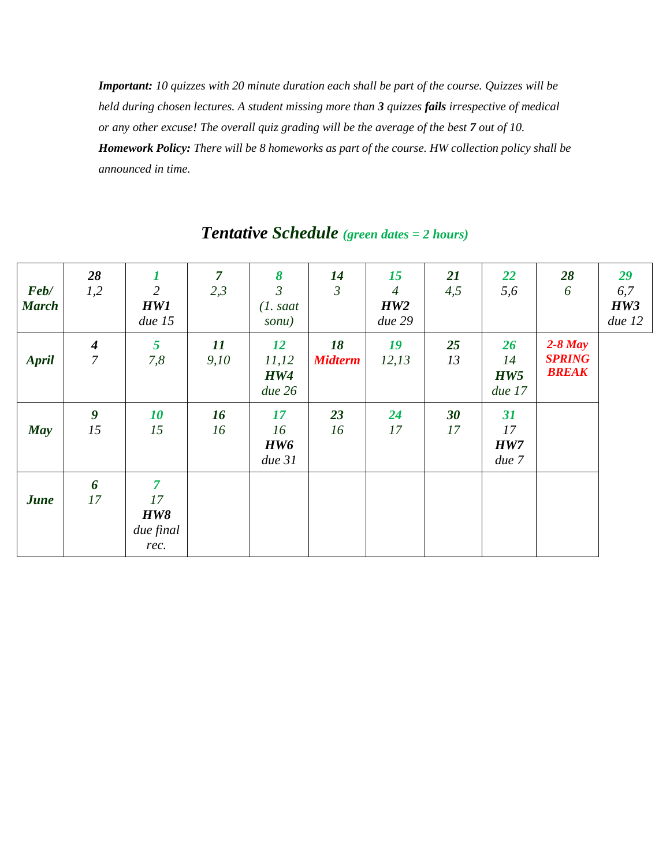*Important: 10 quizzes with 20 minute duration each shall be part of the course. Quizzes will be held during chosen lectures. A student missing more than 3 quizzes fails irrespective of medical or any other excuse! The overall quiz grading will be the average of the best 7 out of 10. Homework Policy: There will be 8 homeworks as part of the course. HW collection policy shall be announced in time.*

| Feb/<br><b>March</b> | 28<br>1,2                          | 1<br>$\overline{2}$<br><b>HW1</b><br>due 15             | $\overline{7}$<br>2,3 | 8<br>$\mathfrak{Z}$<br>$(1. s$ aat<br>sonu) | 14<br>$\mathfrak{Z}$ | 15<br>$\overline{4}$<br>HW2<br>due 29 | <b>21</b><br>4,5 | <b>22</b><br>5,6          | 28<br>6                                    | 29<br>6,7<br>HW3<br>due 12 |
|----------------------|------------------------------------|---------------------------------------------------------|-----------------------|---------------------------------------------|----------------------|---------------------------------------|------------------|---------------------------|--------------------------------------------|----------------------------|
| <b>April</b>         | $\boldsymbol{4}$<br>$\overline{7}$ | 5<br>7,8                                                | 11<br>9,10            | <b>12</b><br>11,12<br><b>HW4</b><br>due 26  | 18<br><b>Midterm</b> | 19<br>12,13                           | 25<br>13         | 26<br>14<br>HW5<br>due 17 | $2-8$ May<br><b>SPRING</b><br><b>BREAK</b> |                            |
| <b>May</b>           | $\boldsymbol{g}$<br>15             | 10<br>15                                                | 16<br>16              | 17<br>16<br>HW6<br>due 31                   | 23<br>16             | 24<br>17                              | 30<br>17         | 31<br>17<br>HW7<br>due 7  |                                            |                            |
| <b>June</b>          | 6<br>17                            | $\overline{7}$<br>17<br><b>HW8</b><br>due final<br>rec. |                       |                                             |                      |                                       |                  |                           |                                            |                            |

## *Tentative Schedule (green dates = 2 hours)*